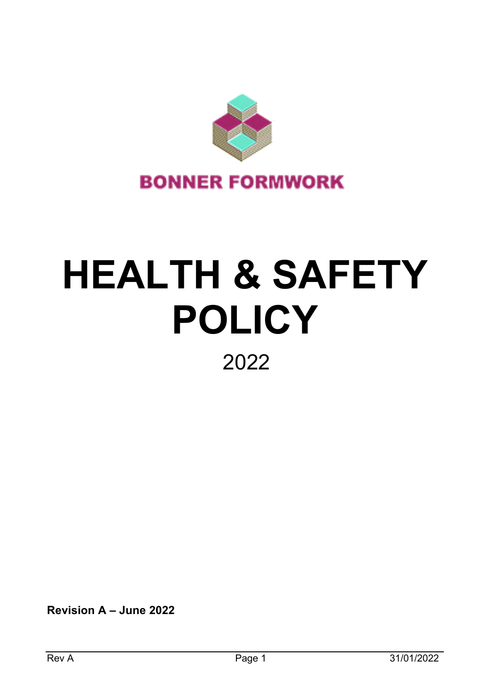

# **HEALTH & SAFETY POLICY** 2022

**Revision A – June 2022**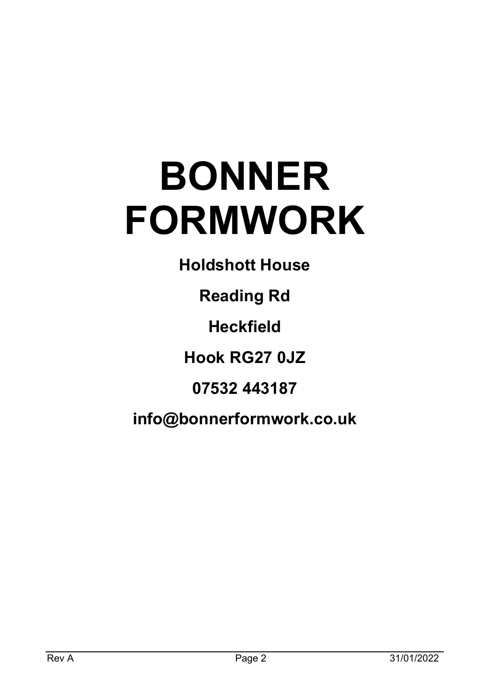# **BONNER FORMWORK**

**Holdshott House**

**Reading Rd**

**Heckfield**

**Hook RG27 0JZ**

**07532 443187**

**info@bonnerformwork.co.uk**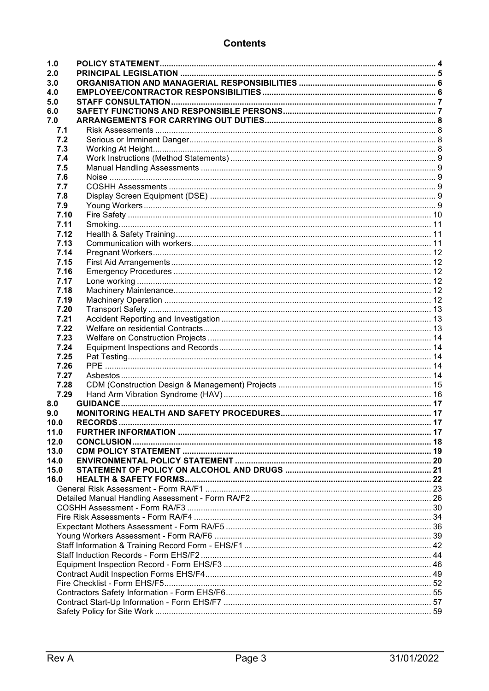# **Contents**

| 1.0  |  |  |  |  |
|------|--|--|--|--|
| 2.0  |  |  |  |  |
| 3.0  |  |  |  |  |
| 4.0  |  |  |  |  |
| 5.0  |  |  |  |  |
| 6.0  |  |  |  |  |
| 7.0  |  |  |  |  |
| 7.1  |  |  |  |  |
| 7.2  |  |  |  |  |
| 7.3  |  |  |  |  |
| 7.4  |  |  |  |  |
| 7.5  |  |  |  |  |
| 7.6  |  |  |  |  |
| 7.7  |  |  |  |  |
| 7.8  |  |  |  |  |
| 7.9  |  |  |  |  |
| 7.10 |  |  |  |  |
| 7.11 |  |  |  |  |
| 7.12 |  |  |  |  |
| 7.13 |  |  |  |  |
| 7.14 |  |  |  |  |
| 7.15 |  |  |  |  |
| 7.16 |  |  |  |  |
| 7.17 |  |  |  |  |
| 7.18 |  |  |  |  |
| 7.19 |  |  |  |  |
| 7.20 |  |  |  |  |
| 7.21 |  |  |  |  |
| 7.22 |  |  |  |  |
| 7.23 |  |  |  |  |
| 7.24 |  |  |  |  |
| 7.25 |  |  |  |  |
| 7.26 |  |  |  |  |
| 7.27 |  |  |  |  |
| 7.28 |  |  |  |  |
| 7.29 |  |  |  |  |
| 8.0  |  |  |  |  |
| 9.0  |  |  |  |  |
| 10.0 |  |  |  |  |
| 11.0 |  |  |  |  |
| 12.0 |  |  |  |  |
| 13.0 |  |  |  |  |
| 14.0 |  |  |  |  |
| 15.0 |  |  |  |  |
| 16.0 |  |  |  |  |
|      |  |  |  |  |
|      |  |  |  |  |
|      |  |  |  |  |
|      |  |  |  |  |
|      |  |  |  |  |
|      |  |  |  |  |
|      |  |  |  |  |
|      |  |  |  |  |
|      |  |  |  |  |
|      |  |  |  |  |
|      |  |  |  |  |
|      |  |  |  |  |
|      |  |  |  |  |
|      |  |  |  |  |
|      |  |  |  |  |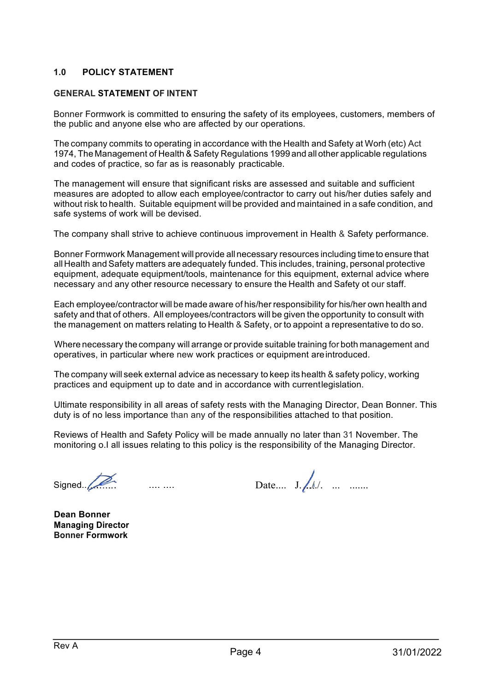#### **1.0 POLICY STATEMENT**

#### **GENERAL STATEMENT OF INTENT**

Bonner Formwork is committed to ensuring the safety of its employees, customers, members of the public and anyone else who are affected by our operations.

The company commits to operating in accordance with the Health and Safety at Worh (etc) Act 1974, The Management of Health & Safety Regulations 1999 and allother applicable regulations and codes of practice, so far as is reasonably practicable.

The management will ensure that significant risks are assessed and suitable and sufficient measures are adopted to allow each employee/contractor to carry out his/her duties safely and without risk to health. Suitable equipment will be provided and maintained in a safe condition, and safe systems of work will be devised.

The company shall strive to achieve continuous improvement in Health & Safety performance.

Bonner Formwork Management will provide all necessary resources including time to ensure that all Health and Safety matters are adequately funded. This includes, training, personal protective equipment, adequate equipment/tools, maintenance for this equipment, external advice where necessary and any other resource necessary to ensure the Health and Safety ot our staff.

Each employee/contractor will be made aware of his/her responsibility for his/her own health and safety and that of others. All employees/contractors will be given the opportunity to consult with the management on matters relating to Health & Safety, or to appoint a representative to do so.

Where necessary the company will arrange or provide suitable training for both management and operatives, in particular where new work practices or equipment areintroduced.

The company will seek external advice as necessary to keep its health & safety policy, working practices and equipment up to date and in accordance with currentlegislation.

Ultimate responsibility in all areas of safety rests with the Managing Director, Dean Bonner. This duty is of no less importance than any of the responsibilities attached to that position.

Reviews of Health and Safety Policy will be made annually no later than 31 November. The monitoring o.I all issues relating to this policy is the responsibility of the Managing Director.

Signed... $\overline{\mathcal{P}}$  .... ..... Date.... J. $\overline{\mathcal{P}}$  .... .......

**Dean Bonner Managing Director Bonner Formwork**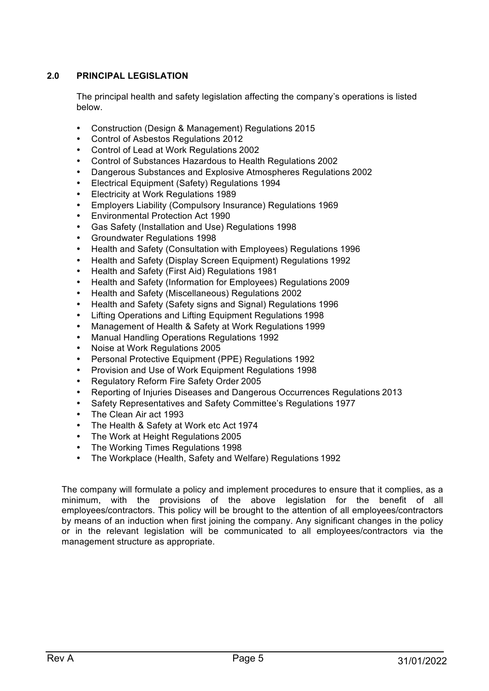# **2.0 PRINCIPAL LEGISLATION**

The principal health and safety legislation affecting the company's operations is listed below.

- Construction (Design & Management) Regulations 2015
- Control of Asbestos Regulations 2012
- Control of Lead at Work Regulations 2002
- Control of Substances Hazardous to Health Regulations 2002
- Dangerous Substances and Explosive Atmospheres Regulations 2002
- Electrical Equipment (Safety) Regulations 1994
- Electricity at Work Regulations 1989
- Employers Liability (Compulsory Insurance) Regulations 1969
- Environmental Protection Act 1990
- Gas Safety (Installation and Use) Regulations 1998
- Groundwater Regulations 1998
- Health and Safety (Consultation with Employees) Regulations 1996
- Health and Safety (Display Screen Equipment) Regulations 1992
- Health and Safety (First Aid) Regulations 1981
- Health and Safety (Information for Employees) Regulations 2009
- Health and Safety (Miscellaneous) Regulations 2002
- Health and Safety (Safety signs and Signal) Regulations 1996
- Lifting Operations and Lifting Equipment Regulations 1998
- Management of Health & Safety at Work Regulations 1999
- Manual Handling Operations Regulations 1992
- Noise at Work Regulations 2005
- Personal Protective Equipment (PPE) Regulations 1992
- Provision and Use of Work Equipment Regulations 1998
- Regulatory Reform Fire Safety Order 2005
- Reporting of Injuries Diseases and Dangerous Occurrences Regulations 2013
- Safety Representatives and Safety Committee's Regulations 1977
- The Clean Air act 1993
- The Health & Safety at Work etc Act 1974
- The Work at Height Regulations 2005
- The Working Times Regulations 1998
- The Workplace (Health, Safety and Welfare) Regulations 1992

The company will formulate a policy and implement procedures to ensure that it complies, as a minimum, with the provisions of the above legislation for the benefit of all employees/contractors. This policy will be brought to the attention of all employees/contractors by means of an induction when first joining the company. Any significant changes in the policy or in the relevant legislation will be communicated to all employees/contractors via the management structure as appropriate.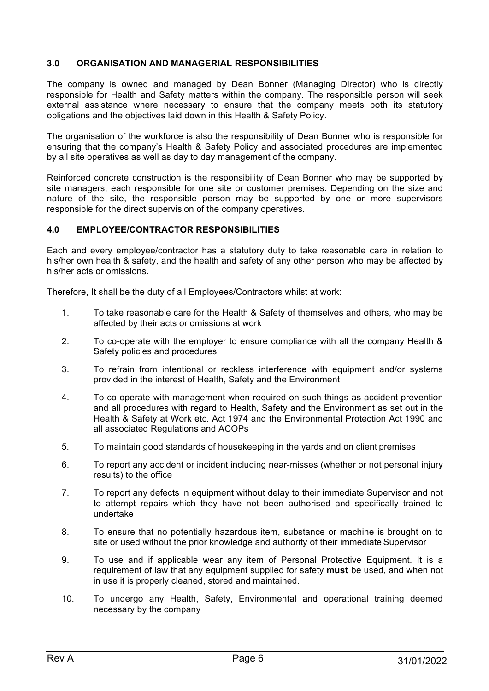#### **3.0 ORGANISATION AND MANAGERIAL RESPONSIBILITIES**

The company is owned and managed by Dean Bonner (Managing Director) who is directly responsible for Health and Safety matters within the company. The responsible person will seek external assistance where necessary to ensure that the company meets both its statutory obligations and the objectives laid down in this Health & Safety Policy.

The organisation of the workforce is also the responsibility of Dean Bonner who is responsible for ensuring that the company's Health & Safety Policy and associated procedures are implemented by all site operatives as well as day to day management of the company.

Reinforced concrete construction is the responsibility of Dean Bonner who may be supported by site managers, each responsible for one site or customer premises. Depending on the size and nature of the site, the responsible person may be supported by one or more supervisors responsible for the direct supervision of the company operatives.

#### **4.0 EMPLOYEE/CONTRACTOR RESPONSIBILITIES**

Each and every employee/contractor has a statutory duty to take reasonable care in relation to his/her own health & safety, and the health and safety of any other person who may be affected by his/her acts or omissions.

Therefore, It shall be the duty of all Employees/Contractors whilst at work:

- 1. To take reasonable care for the Health & Safety of themselves and others, who may be affected by their acts or omissions at work
- 2. To co-operate with the employer to ensure compliance with all the company Health & Safety policies and procedures
- 3. To refrain from intentional or reckless interference with equipment and/or systems provided in the interest of Health, Safety and the Environment
- 4. To co-operate with management when required on such things as accident prevention and all procedures with regard to Health, Safety and the Environment as set out in the Health & Safety at Work etc. Act 1974 and the Environmental Protection Act 1990 and all associated Regulations and ACOPs
- 5. To maintain good standards of housekeeping in the yards and on client premises
- 6. To report any accident or incident including near-misses (whether or not personal injury results) to the office
- 7. To report any defects in equipment without delay to their immediate Supervisor and not to attempt repairs which they have not been authorised and specifically trained to undertake
- 8. To ensure that no potentially hazardous item, substance or machine is brought on to site or used without the prior knowledge and authority of their immediate Supervisor
- 9. To use and if applicable wear any item of Personal Protective Equipment. It is a requirement of law that any equipment supplied for safety **must** be used, and when not in use it is properly cleaned, stored and maintained.
- 10. To undergo any Health, Safety, Environmental and operational training deemed necessary by the company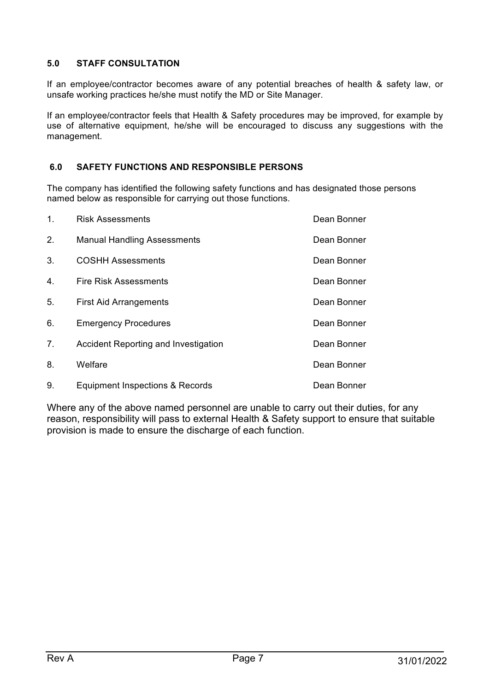## **5.0 STAFF CONSULTATION**

If an employee/contractor becomes aware of any potential breaches of health & safety law, or unsafe working practices he/she must notify the MD or Site Manager.

If an employee/contractor feels that Health & Safety procedures may be improved, for example by use of alternative equipment, he/she will be encouraged to discuss any suggestions with the management.

# **6.0 SAFETY FUNCTIONS AND RESPONSIBLE PERSONS**

The company has identified the following safety functions and has designated those persons named below as responsible for carrying out those functions.

| $\mathbf{1}$ . | <b>Risk Assessments</b>                     | Dean Bonner |
|----------------|---------------------------------------------|-------------|
| 2.             | <b>Manual Handling Assessments</b>          | Dean Bonner |
| 3.             | <b>COSHH Assessments</b>                    | Dean Bonner |
| 4.             | <b>Fire Risk Assessments</b>                | Dean Bonner |
| 5.             | <b>First Aid Arrangements</b>               | Dean Bonner |
| 6.             | <b>Emergency Procedures</b>                 | Dean Bonner |
| 7 <sub>1</sub> | <b>Accident Reporting and Investigation</b> | Dean Bonner |
| 8.             | Welfare                                     | Dean Bonner |
| 9.             | Equipment Inspections & Records             | Dean Bonner |

Where any of the above named personnel are unable to carry out their duties, for any reason, responsibility will pass to external Health & Safety support to ensure that suitable provision is made to ensure the discharge of each function.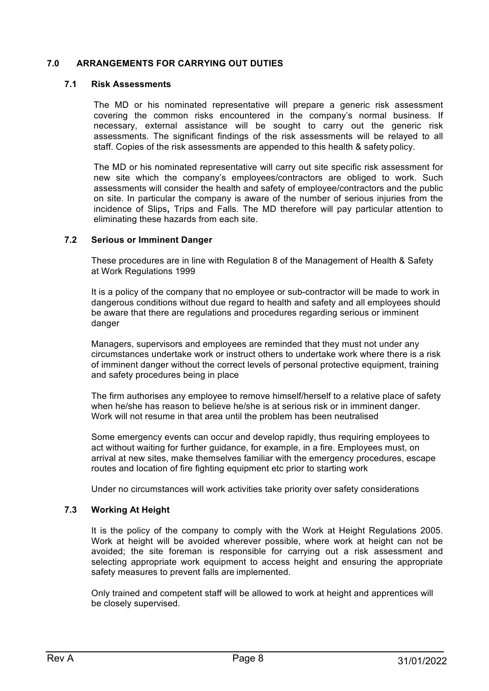#### **7.0 ARRANGEMENTS FOR CARRYING OUT DUTIES**

#### **7.1 Risk Assessments**

The MD or his nominated representative will prepare a generic risk assessment covering the common risks encountered in the company's normal business. If necessary, external assistance will be sought to carry out the generic risk assessments. The significant findings of the risk assessments will be relayed to all staff. Copies of the risk assessments are appended to this health & safety policy.

The MD or his nominated representative will carry out site specific risk assessment for new site which the company's employees/contractors are obliged to work. Such assessments will consider the health and safety of employee/contractors and the public on site. In particular the company is aware of the number of serious injuries from the incidence of Slips**,** Trips and Falls. The MD therefore will pay particular attention to eliminating these hazards from each site.

#### **7.2 Serious or Imminent Danger**

These procedures are in line with Regulation 8 of the Management of Health & Safety at Work Regulations 1999

It is a policy of the company that no employee or sub-contractor will be made to work in dangerous conditions without due regard to health and safety and all employees should be aware that there are regulations and procedures regarding serious or imminent danger

Managers, supervisors and employees are reminded that they must not under any circumstances undertake work or instruct others to undertake work where there is a risk of imminent danger without the correct levels of personal protective equipment, training and safety procedures being in place

The firm authorises any employee to remove himself/herself to a relative place of safety when he/she has reason to believe he/she is at serious risk or in imminent danger. Work will not resume in that area until the problem has been neutralised

Some emergency events can occur and develop rapidly, thus requiring employees to act without waiting for further guidance, for example, in a fire. Employees must, on arrival at new sites, make themselves familiar with the emergency procedures, escape routes and location of fire fighting equipment etc prior to starting work

Under no circumstances will work activities take priority over safety considerations

#### **7.3 Working At Height**

It is the policy of the company to comply with the Work at Height Regulations 2005. Work at height will be avoided wherever possible, where work at height can not be avoided; the site foreman is responsible for carrying out a risk assessment and selecting appropriate work equipment to access height and ensuring the appropriate safety measures to prevent falls are implemented.

Only trained and competent staff will be allowed to work at height and apprentices will be closely supervised.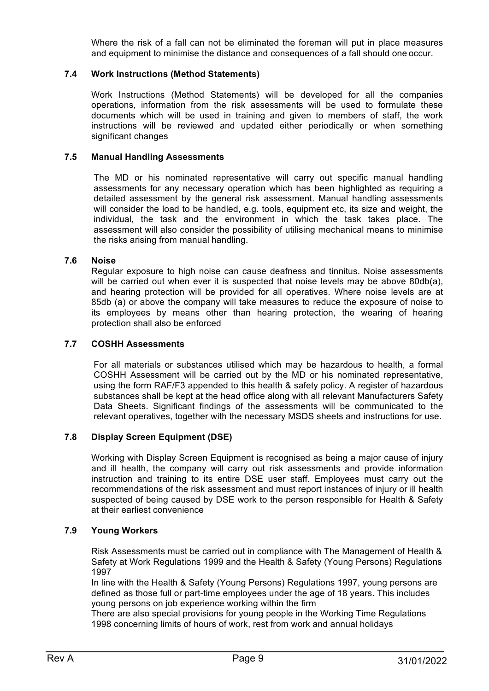Where the risk of a fall can not be eliminated the foreman will put in place measures and equipment to minimise the distance and consequences of a fall should one occur.

#### **7.4 Work Instructions (Method Statements)**

Work Instructions (Method Statements) will be developed for all the companies operations, information from the risk assessments will be used to formulate these documents which will be used in training and given to members of staff, the work instructions will be reviewed and updated either periodically or when something significant changes

#### **7.5 Manual Handling Assessments**

The MD or his nominated representative will carry out specific manual handling assessments for any necessary operation which has been highlighted as requiring a detailed assessment by the general risk assessment. Manual handling assessments will consider the load to be handled, e.g. tools, equipment etc, its size and weight, the individual, the task and the environment in which the task takes place. The assessment will also consider the possibility of utilising mechanical means to minimise the risks arising from manual handling.

#### **7.6 Noise**

Regular exposure to high noise can cause deafness and tinnitus. Noise assessments will be carried out when ever it is suspected that noise levels may be above 80db(a), and hearing protection will be provided for all operatives. Where noise levels are at 85db (a) or above the company will take measures to reduce the exposure of noise to its employees by means other than hearing protection, the wearing of hearing protection shall also be enforced

#### **7.7 COSHH Assessments**

For all materials or substances utilised which may be hazardous to health, a formal COSHH Assessment will be carried out by the MD or his nominated representative, using the form RAF/F3 appended to this health & safety policy. A register of hazardous substances shall be kept at the head office along with all relevant Manufacturers Safety Data Sheets. Significant findings of the assessments will be communicated to the relevant operatives, together with the necessary MSDS sheets and instructions for use.

#### **7.8 Display Screen Equipment (DSE)**

Working with Display Screen Equipment is recognised as being a major cause of injury and ill health, the company will carry out risk assessments and provide information instruction and training to its entire DSE user staff. Employees must carry out the recommendations of the risk assessment and must report instances of injury or ill health suspected of being caused by DSE work to the person responsible for Health & Safety at their earliest convenience

#### **7.9 Young Workers**

Risk Assessments must be carried out in compliance with The Management of Health & Safety at Work Regulations 1999 and the Health & Safety (Young Persons) Regulations 1997

In line with the Health & Safety (Young Persons) Regulations 1997, young persons are defined as those full or part-time employees under the age of 18 years. This includes young persons on job experience working within the firm

There are also special provisions for young people in the Working Time Regulations 1998 concerning limits of hours of work, rest from work and annual holidays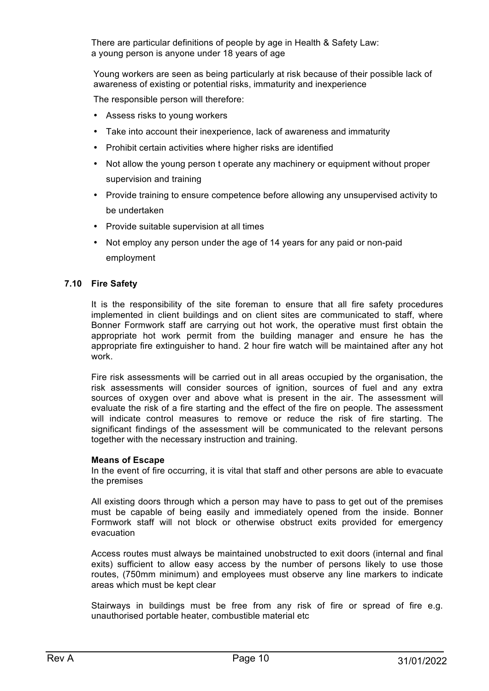There are particular definitions of people by age in Health & Safety Law: a young person is anyone under 18 years of age

Young workers are seen as being particularly at risk because of their possible lack of awareness of existing or potential risks, immaturity and inexperience

The responsible person will therefore:

- Assess risks to young workers
- Take into account their inexperience, lack of awareness and immaturity
- Prohibit certain activities where higher risks are identified
- Not allow the young person t operate any machinery or equipment without proper supervision and training
- Provide training to ensure competence before allowing any unsupervised activity to be undertaken
- Provide suitable supervision at all times
- Not employ any person under the age of 14 years for any paid or non-paid employment

#### **7.10 Fire Safety**

It is the responsibility of the site foreman to ensure that all fire safety procedures implemented in client buildings and on client sites are communicated to staff, where Bonner Formwork staff are carrying out hot work, the operative must first obtain the appropriate hot work permit from the building manager and ensure he has the appropriate fire extinguisher to hand. 2 hour fire watch will be maintained after any hot work.

Fire risk assessments will be carried out in all areas occupied by the organisation, the risk assessments will consider sources of ignition, sources of fuel and any extra sources of oxygen over and above what is present in the air. The assessment will evaluate the risk of a fire starting and the effect of the fire on people. The assessment will indicate control measures to remove or reduce the risk of fire starting. The significant findings of the assessment will be communicated to the relevant persons together with the necessary instruction and training.

#### **Means of Escape**

In the event of fire occurring, it is vital that staff and other persons are able to evacuate the premises

All existing doors through which a person may have to pass to get out of the premises must be capable of being easily and immediately opened from the inside. Bonner Formwork staff will not block or otherwise obstruct exits provided for emergency evacuation

Access routes must always be maintained unobstructed to exit doors (internal and final exits) sufficient to allow easy access by the number of persons likely to use those routes, (750mm minimum) and employees must observe any line markers to indicate areas which must be kept clear

Stairways in buildings must be free from any risk of fire or spread of fire e.g. unauthorised portable heater, combustible material etc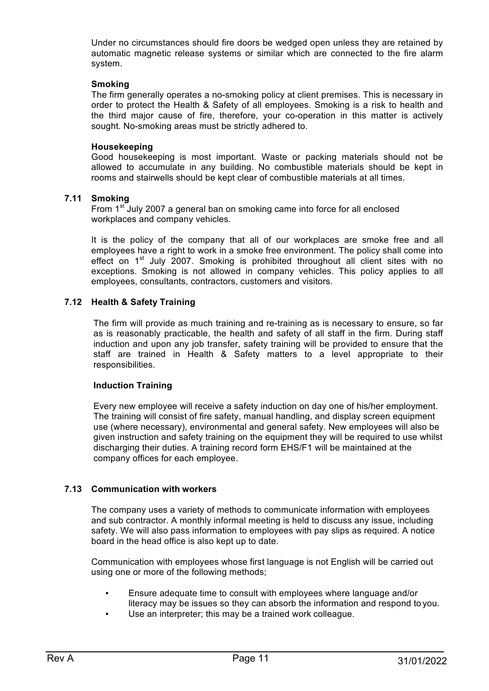Under no circumstances should fire doors be wedged open unless they are retained by automatic magnetic release systems or similar which are connected to the fire alarm system.

#### **Smoking**

The firm generally operates a no-smoking policy at client premises. This is necessary in order to protect the Health & Safety of all employees. Smoking is a risk to health and the third major cause of fire, therefore, your co-operation in this matter is actively sought. No-smoking areas must be strictly adhered to.

#### **Housekeeping**

Good housekeeping is most important. Waste or packing materials should not be allowed to accumulate in any building. No combustible materials should be kept in rooms and stairwells should be kept clear of combustible materials at all times.

#### **7.11 Smoking**

From 1<sup>st</sup> July 2007 a general ban on smoking came into force for all enclosed workplaces and company vehicles.

It is the policy of the company that all of our workplaces are smoke free and all employees have a right to work in a smoke free environment. The policy shall come into effect on  $1<sup>st</sup>$  July 2007. Smoking is prohibited throughout all client sites with no exceptions. Smoking is not allowed in company vehicles. This policy applies to all employees, consultants, contractors, customers and visitors.

#### **7.12 Health & Safety Training**

The firm will provide as much training and re-training as is necessary to ensure, so far as is reasonably practicable, the health and safety of all staff in the firm. During staff induction and upon any job transfer, safety training will be provided to ensure that the staff are trained in Health & Safety matters to a level appropriate to their responsibilities.

#### **Induction Training**

Every new employee will receive a safety induction on day one of his/her employment. The training will consist of fire safety, manual handling, and display screen equipment use (where necessary), environmental and general safety. New employees will also be given instruction and safety training on the equipment they will be required to use whilst discharging their duties. A training record form EHS/F1 will be maintained at the company offices for each employee.

#### **7.13 Communication with workers**

The company uses a variety of methods to communicate information with employees and sub contractor. A monthly informal meeting is held to discuss any issue, including safety. We will also pass information to employees with pay slips as required. A notice board in the head office is also kept up to date.

Communication with employees whose first language is not English will be carried out using one or more of the following methods;

- Ensure adequate time to consult with employees where language and/or literacy may be issues so they can absorb the information and respond to you.
- Use an interpreter; this may be a trained work colleague.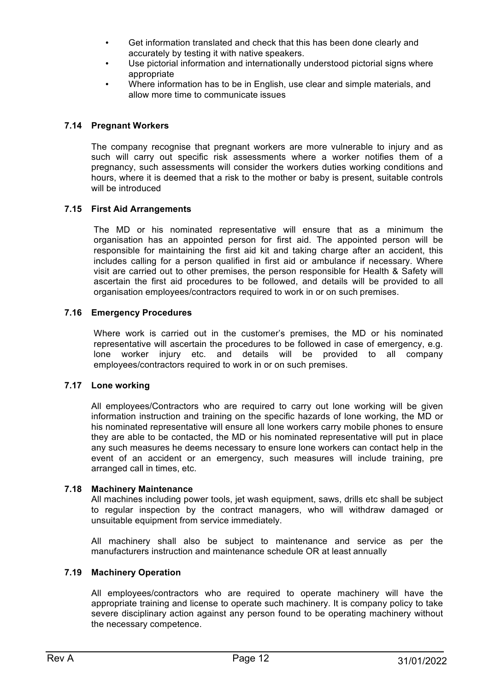- Get information translated and check that this has been done clearly and accurately by testing it with native speakers.
- Use pictorial information and internationally understood pictorial signs where appropriate
- Where information has to be in English, use clear and simple materials, and allow more time to communicate issues

#### **7.14 Pregnant Workers**

The company recognise that pregnant workers are more vulnerable to injury and as such will carry out specific risk assessments where a worker notifies them of a pregnancy, such assessments will consider the workers duties working conditions and hours, where it is deemed that a risk to the mother or baby is present, suitable controls will be introduced

#### **7.15 First Aid Arrangements**

The MD or his nominated representative will ensure that as a minimum the organisation has an appointed person for first aid. The appointed person will be responsible for maintaining the first aid kit and taking charge after an accident, this includes calling for a person qualified in first aid or ambulance if necessary. Where visit are carried out to other premises, the person responsible for Health & Safety will ascertain the first aid procedures to be followed, and details will be provided to all organisation employees/contractors required to work in or on such premises.

#### **7.16 Emergency Procedures**

Where work is carried out in the customer's premises, the MD or his nominated representative will ascertain the procedures to be followed in case of emergency, e.g. lone worker injury etc. and details will be provided to all company employees/contractors required to work in or on such premises.

#### **7.17 Lone working**

All employees/Contractors who are required to carry out lone working will be given information instruction and training on the specific hazards of lone working, the MD or his nominated representative will ensure all lone workers carry mobile phones to ensure they are able to be contacted, the MD or his nominated representative will put in place any such measures he deems necessary to ensure lone workers can contact help in the event of an accident or an emergency, such measures will include training, pre arranged call in times, etc.

#### **7.18 Machinery Maintenance**

All machines including power tools, jet wash equipment, saws, drills etc shall be subject to regular inspection by the contract managers, who will withdraw damaged or unsuitable equipment from service immediately.

All machinery shall also be subject to maintenance and service as per the manufacturers instruction and maintenance schedule OR at least annually

#### **7.19 Machinery Operation**

All employees/contractors who are required to operate machinery will have the appropriate training and license to operate such machinery. It is company policy to take severe disciplinary action against any person found to be operating machinery without the necessary competence.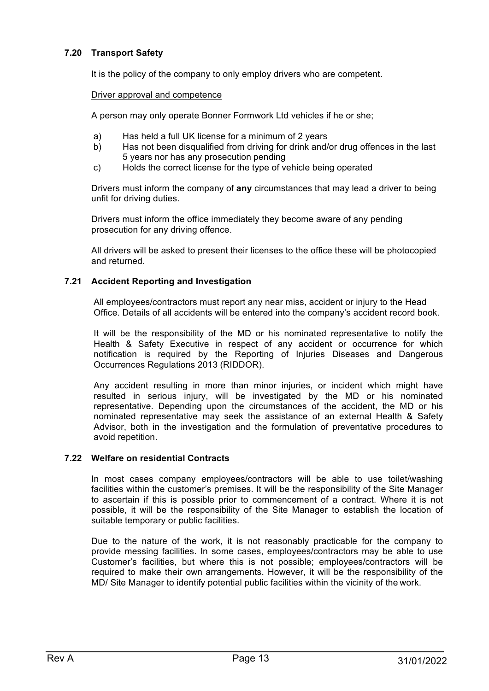#### **7.20 Transport Safety**

It is the policy of the company to only employ drivers who are competent.

#### Driver approval and competence

A person may only operate Bonner Formwork Ltd vehicles if he or she;

- a) Has held a full UK license for a minimum of 2 years
- b) Has not been disqualified from driving for drink and/or drug offences in the last 5 years nor has any prosecution pending
- c) Holds the correct license for the type of vehicle being operated

Drivers must inform the company of **any** circumstances that may lead a driver to being unfit for driving duties.

Drivers must inform the office immediately they become aware of any pending prosecution for any driving offence.

All drivers will be asked to present their licenses to the office these will be photocopied and returned.

#### **7.21 Accident Reporting and Investigation**

All employees/contractors must report any near miss, accident or injury to the Head Office. Details of all accidents will be entered into the company's accident record book.

It will be the responsibility of the MD or his nominated representative to notify the Health & Safety Executive in respect of any accident or occurrence for which notification is required by the Reporting of Injuries Diseases and Dangerous Occurrences Regulations 2013 (RIDDOR).

Any accident resulting in more than minor injuries, or incident which might have resulted in serious injury, will be investigated by the MD or his nominated representative. Depending upon the circumstances of the accident, the MD or his nominated representative may seek the assistance of an external Health & Safety Advisor, both in the investigation and the formulation of preventative procedures to avoid repetition.

#### **7.22 Welfare on residential Contracts**

In most cases company employees/contractors will be able to use toilet/washing facilities within the customer's premises. It will be the responsibility of the Site Manager to ascertain if this is possible prior to commencement of a contract. Where it is not possible, it will be the responsibility of the Site Manager to establish the location of suitable temporary or public facilities.

Due to the nature of the work, it is not reasonably practicable for the company to provide messing facilities. In some cases, employees/contractors may be able to use Customer's facilities, but where this is not possible; employees/contractors will be required to make their own arrangements. However, it will be the responsibility of the MD/ Site Manager to identify potential public facilities within the vicinity of the work.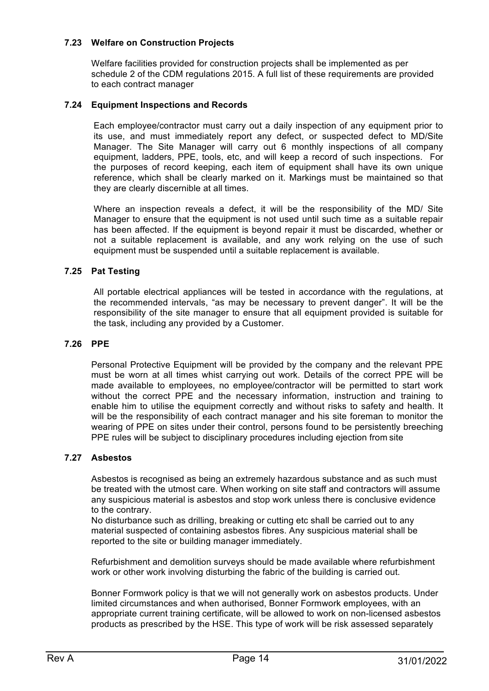#### **7.23 Welfare on Construction Projects**

Welfare facilities provided for construction projects shall be implemented as per schedule 2 of the CDM regulations 2015. A full list of these requirements are provided to each contract manager

#### **7.24 Equipment Inspections and Records**

Each employee/contractor must carry out a daily inspection of any equipment prior to its use, and must immediately report any defect, or suspected defect to MD/Site Manager. The Site Manager will carry out 6 monthly inspections of all company equipment, ladders, PPE, tools, etc, and will keep a record of such inspections. For the purposes of record keeping, each item of equipment shall have its own unique reference, which shall be clearly marked on it. Markings must be maintained so that they are clearly discernible at all times.

Where an inspection reveals a defect, it will be the responsibility of the MD/ Site Manager to ensure that the equipment is not used until such time as a suitable repair has been affected. If the equipment is beyond repair it must be discarded, whether or not a suitable replacement is available, and any work relying on the use of such equipment must be suspended until a suitable replacement is available.

#### **7.25 Pat Testing**

All portable electrical appliances will be tested in accordance with the regulations, at the recommended intervals, "as may be necessary to prevent danger". It will be the responsibility of the site manager to ensure that all equipment provided is suitable for the task, including any provided by a Customer.

#### **7.26 PPE**

Personal Protective Equipment will be provided by the company and the relevant PPE must be worn at all times whist carrying out work. Details of the correct PPE will be made available to employees, no employee/contractor will be permitted to start work without the correct PPE and the necessary information, instruction and training to enable him to utilise the equipment correctly and without risks to safety and health. It will be the responsibility of each contract manager and his site foreman to monitor the wearing of PPE on sites under their control, persons found to be persistently breeching PPE rules will be subject to disciplinary procedures including ejection from site

#### **7.27 Asbestos**

Asbestos is recognised as being an extremely hazardous substance and as such must be treated with the utmost care. When working on site staff and contractors will assume any suspicious material is asbestos and stop work unless there is conclusive evidence to the contrary.

No disturbance such as drilling, breaking or cutting etc shall be carried out to any material suspected of containing asbestos fibres. Any suspicious material shall be reported to the site or building manager immediately.

Refurbishment and demolition surveys should be made available where refurbishment work or other work involving disturbing the fabric of the building is carried out.

Bonner Formwork policy is that we will not generally work on asbestos products. Under limited circumstances and when authorised, Bonner Formwork employees, with an appropriate current training certificate, will be allowed to work on non-licensed asbestos products as prescribed by the HSE. This type of work will be risk assessed separately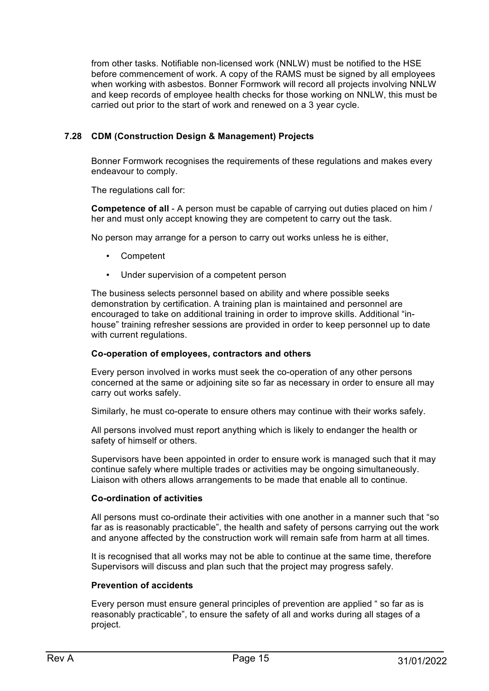from other tasks. Notifiable non-licensed work (NNLW) must be notified to the HSE before commencement of work. A copy of the RAMS must be signed by all employees when working with asbestos. Bonner Formwork will record all projects involving NNLW and keep records of employee health checks for those working on NNLW, this must be carried out prior to the start of work and renewed on a 3 year cycle.

#### **7.28 CDM (Construction Design & Management) Projects**

Bonner Formwork recognises the requirements of these regulations and makes every endeavour to comply.

The regulations call for:

**Competence of all** - A person must be capable of carrying out duties placed on him / her and must only accept knowing they are competent to carry out the task.

No person may arrange for a person to carry out works unless he is either,

- Competent
- Under supervision of a competent person

The business selects personnel based on ability and where possible seeks demonstration by certification. A training plan is maintained and personnel are encouraged to take on additional training in order to improve skills. Additional "inhouse" training refresher sessions are provided in order to keep personnel up to date with current regulations.

#### **Co-operation of employees, contractors and others**

Every person involved in works must seek the co-operation of any other persons concerned at the same or adjoining site so far as necessary in order to ensure all may carry out works safely.

Similarly, he must co-operate to ensure others may continue with their works safely.

All persons involved must report anything which is likely to endanger the health or safety of himself or others.

Supervisors have been appointed in order to ensure work is managed such that it may continue safely where multiple trades or activities may be ongoing simultaneously. Liaison with others allows arrangements to be made that enable all to continue.

#### **Co-ordination of activities**

All persons must co-ordinate their activities with one another in a manner such that "so far as is reasonably practicable", the health and safety of persons carrying out the work and anyone affected by the construction work will remain safe from harm at all times.

It is recognised that all works may not be able to continue at the same time, therefore Supervisors will discuss and plan such that the project may progress safely.

#### **Prevention of accidents**

Every person must ensure general principles of prevention are applied " so far as is reasonably practicable", to ensure the safety of all and works during all stages of a project.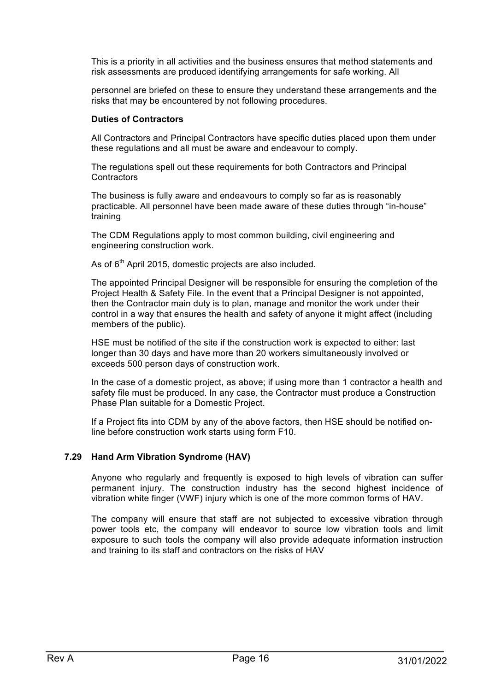This is a priority in all activities and the business ensures that method statements and risk assessments are produced identifying arrangements for safe working. All

personnel are briefed on these to ensure they understand these arrangements and the risks that may be encountered by not following procedures.

#### **Duties of Contractors**

All Contractors and Principal Contractors have specific duties placed upon them under these regulations and all must be aware and endeavour to comply.

The regulations spell out these requirements for both Contractors and Principal **Contractors** 

The business is fully aware and endeavours to comply so far as is reasonably practicable. All personnel have been made aware of these duties through "in-house" training

The CDM Regulations apply to most common building, civil engineering and engineering construction work.

As of  $6<sup>th</sup>$  April 2015, domestic projects are also included.

The appointed Principal Designer will be responsible for ensuring the completion of the Project Health & Safety File. In the event that a Principal Designer is not appointed, then the Contractor main duty is to plan, manage and monitor the work under their control in a way that ensures the health and safety of anyone it might affect (including members of the public).

HSE must be notified of the site if the construction work is expected to either: last longer than 30 days and have more than 20 workers simultaneously involved or exceeds 500 person days of construction work.

In the case of a domestic project, as above; if using more than 1 contractor a health and safety file must be produced. In any case, the Contractor must produce a Construction Phase Plan suitable for a Domestic Project.

If a Project fits into CDM by any of the above factors, then HSE should be notified online before construction work starts using form F10.

#### **7.29 Hand Arm Vibration Syndrome (HAV)**

Anyone who regularly and frequently is exposed to high levels of vibration can suffer permanent injury. The construction industry has the second highest incidence of vibration white finger (VWF) injury which is one of the more common forms of HAV.

The company will ensure that staff are not subjected to excessive vibration through power tools etc, the company will endeavor to source low vibration tools and limit exposure to such tools the company will also provide adequate information instruction and training to its staff and contractors on the risks of HAV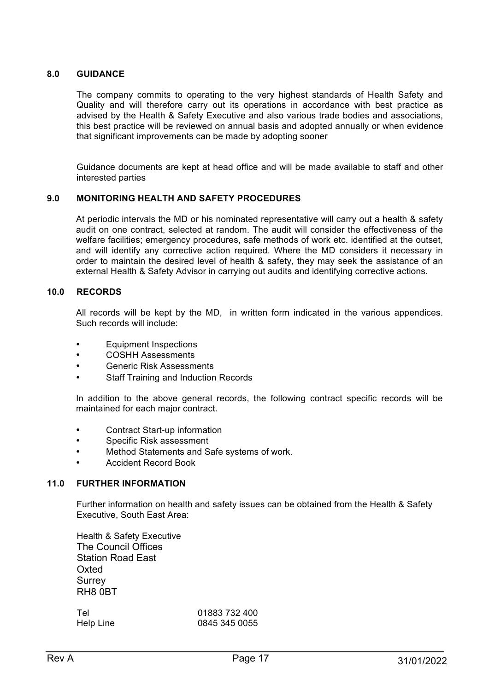#### **8.0 GUIDANCE**

The company commits to operating to the very highest standards of Health Safety and Quality and will therefore carry out its operations in accordance with best practice as advised by the Health & Safety Executive and also various trade bodies and associations, this best practice will be reviewed on annual basis and adopted annually or when evidence that significant improvements can be made by adopting sooner

Guidance documents are kept at head office and will be made available to staff and other interested parties

#### **9.0 MONITORING HEALTH AND SAFETY PROCEDURES**

At periodic intervals the MD or his nominated representative will carry out a health & safety audit on one contract, selected at random. The audit will consider the effectiveness of the welfare facilities; emergency procedures, safe methods of work etc. identified at the outset, and will identify any corrective action required. Where the MD considers it necessary in order to maintain the desired level of health & safety, they may seek the assistance of an external Health & Safety Advisor in carrying out audits and identifying corrective actions.

#### **10.0 RECORDS**

All records will be kept by the MD, in written form indicated in the various appendices. Such records will include:

- Equipment Inspections
- COSHH Assessments
- Generic Risk Assessments
- Staff Training and Induction Records

In addition to the above general records, the following contract specific records will be maintained for each major contract.

- Contract Start-up information
- Specific Risk assessment
- Method Statements and Safe systems of work.
- Accident Record Book

#### **11.0 FURTHER INFORMATION**

Further information on health and safety issues can be obtained from the Health & Safety Executive, South East Area:

Health & Safety Executive The Council Offices Station Road East **Oxted Surrey** RH8 0BT

Tel 01883 732 400 Help Line 0845 345 0055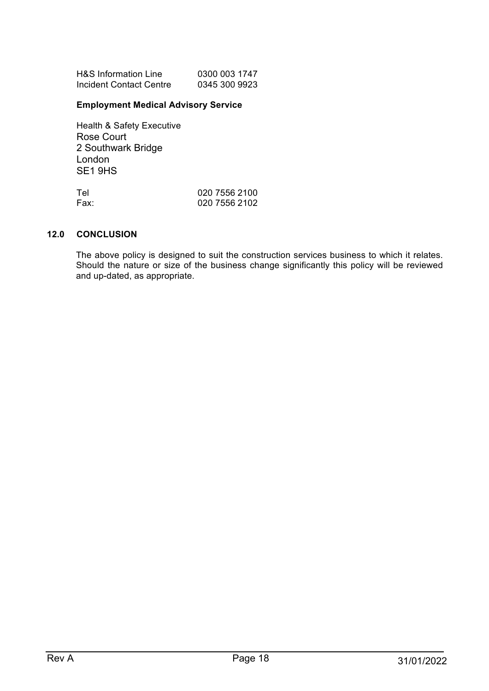| H&S Information Line    | 0300 003 1747 |
|-------------------------|---------------|
| Incident Contact Centre | 0345 300 9923 |

# **Employment Medical Advisory Service**

Health & Safety Executive Rose Court 2 Southwark Bridge London SE1 9HS

| Tel  | 020 7556 2100 |
|------|---------------|
| Fax: | 020 7556 2102 |

#### **12.0 CONCLUSION**

The above policy is designed to suit the construction services business to which it relates. Should the nature or size of the business change significantly this policy will be reviewed and up-dated, as appropriate.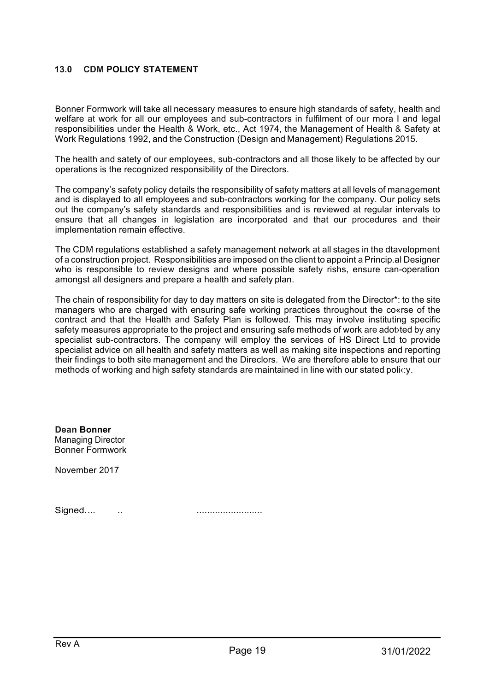#### **13.0 CDM POLICY STATEMENT**

Bonner Formwork will take all necessary measures to ensure high standards of safety, health and welfare at work for all our employees and sub-contractors in fulfilment of our mora I and legal responsibilities under the Health & Work, etc., Act 1974, the Management of Health & Safety at Work Regulations 1992, and the Construction (Design and Management) Regulations 2015.

The health and satety of our employees, sub-contractors and all those likely to be affected by our operations is the recognized responsibility of the Directors.

The company's safety policy details the responsibility of safety matters at all levels of management and is displayed to all employees and sub-contractors working for the company. Our policy sets out the company's safety standards and responsibilities and is reviewed at regular intervals to ensure that all changes in legislation are incorporated and that our procedures and their implementation remain effective.

The CDM regulations established a safety management network at all stages in the dtavelopment of a construction project. Responsibilities are imposed on the client to appoint a Princip.al Designer who is responsible to review designs and where possible safety rishs, ensure can-operation amongst all designers and prepare a health and safety plan.

The chain of responsibility for day to day matters on site is delegated from the Director\*: to the site managers who are charged with ensuring safe working practices throughout the co«rse of the contract and that the Health and Safety Plan is followed. This may involve instituting specific safety measures appropriate to the project and ensuring safe methods of work are adot ted by any specialist sub-contractors. The company will employ the services of HS Direct Ltd to provide specialist advice on all health and safety matters as well as making site inspections and reporting their findings to both site management and the Direclors. We are therefore able to ensure that our methods of working and high safety standards are maintained in line with our stated policy.

**Dean Bonner**  Managing Director Bonner Formwork

November 2017

Signed.... .. .........................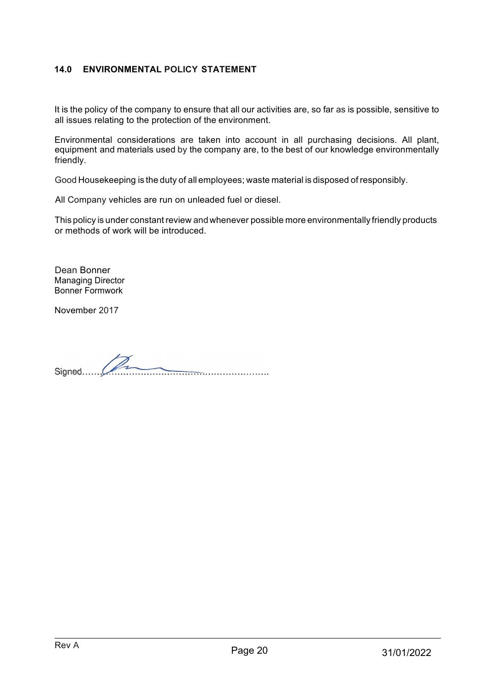# **14.0 ENVIRONMENTAL POLICY STATEMENT**

It is the policy of the company to ensure that all our activities are, so far as is possible, sensitive to all issues relating to the protection of the environment.

Environmental considerations are taken into account in all purchasing decisions. All plant, equipment and materials used by the company are, to the best of our knowledge environmentally friendly.

Good Housekeeping is the duty of all employees; waste material is disposed of responsibly.

All Company vehicles are run on unleaded fuel or diesel.

This policy is under constant review and whenever possible more environmentally friendly products or methods of work will be introduced.

Dean Bonner Managing Director Bonner Formwork

November 2017

Signed.......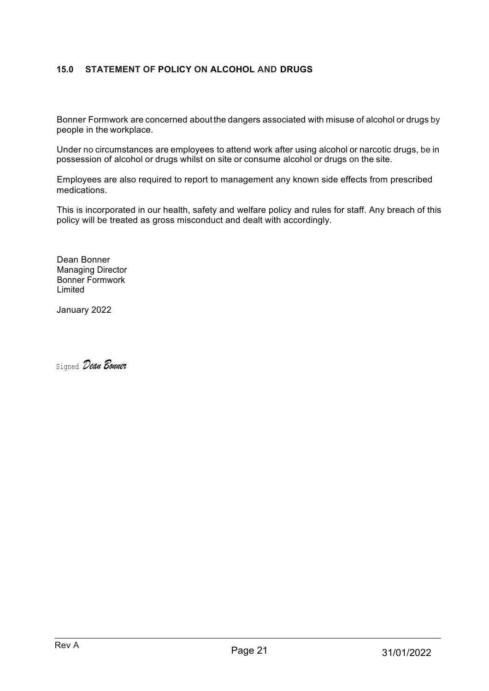# **15.0 STATEMENT OF POLICY ON ALCOHOL AND DRUGS**

Bonner Formwork are concerned about the dangers associated with misuse of alcohol or drugs by people in the workplace.

Under no circumstances are employees to attend work after using alcohol or narcotic drugs, be in possession of alcohol or drugs whilst on site or consume alcohol or drugs on the site.

Employees are also required to report to management any known side effects from prescribed medications.

This is incorporated in our health, safety and welfare policy and rules for staff. Any breach of this policy will be treated as gross misconduct and dealt with accordingly.

Dean Bonner Managing Director Bonner Formwork Limited

January 2022

Signed *Dean Bonner*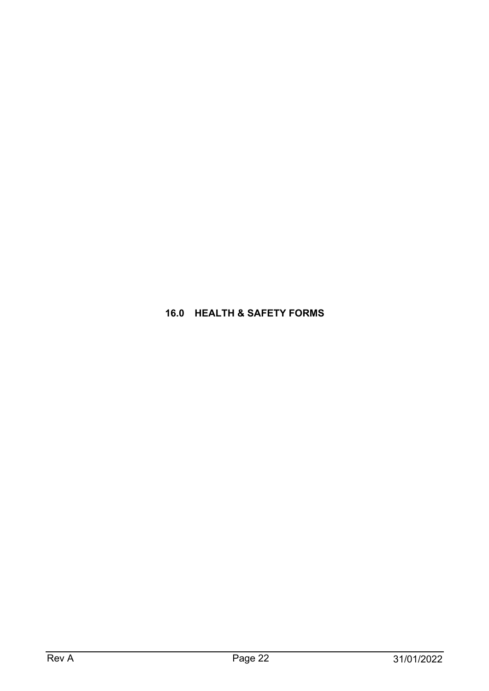# **16.0 HEALTH & SAFETY FORMS**